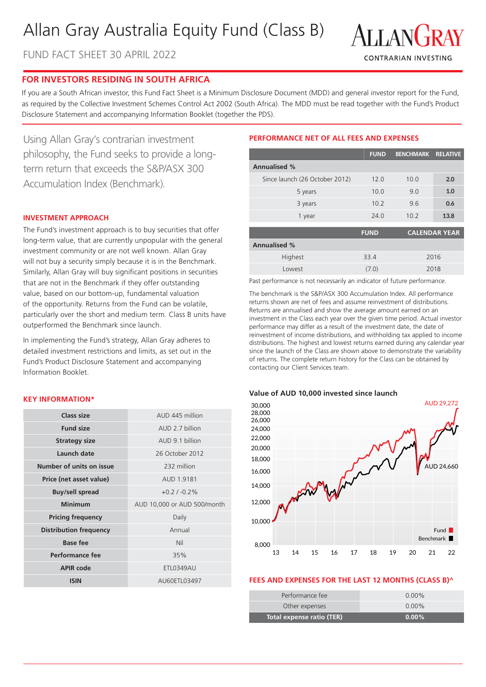## Allan Gray Australia Equity Fund (Class B)

FUND FACT SHEET 30 APRIL 2022



#### **FOR INVESTORS RESIDING IN SOUTH AFRICA**

If you are a South African investor, this Fund Fact Sheet is a Minimum Disclosure Document (MDD) and general investor report for the Fund, as required by the Collective Investment Schemes Control Act 2002 (South Africa). The MDD must be read together with the Fund's Product Disclosure Statement and accompanying Information Booklet (together the PDS).

Using Allan Gray's contrarian investment philosophy, the Fund seeks to provide a longterm return that exceeds the S&P/ASX 300 Accumulation Index (Benchmark).

#### **INVESTMENT APPROACH**

The Fund's investment approach is to buy securities that offer long-term value, that are currently unpopular with the general investment community or are not well known. Allan Gray will not buy a security simply because it is in the Benchmark. Similarly, Allan Gray will buy significant positions in securities that are not in the Benchmark if they offer outstanding value, based on our bottom-up, fundamental valuation of the opportunity. Returns from the Fund can be volatile, particularly over the short and medium term. Class B units have outperformed the Benchmark since launch.

In implementing the Fund's strategy, Allan Gray adheres to detailed investment restrictions and limits, as set out in the Fund's Product Disclosure Statement and accompanying Information Booklet.

#### **KEY INFORMATION\***

| Class size                    | AUD 445 million             |  |  |
|-------------------------------|-----------------------------|--|--|
|                               |                             |  |  |
| <b>Fund size</b>              | AUD 2.7 billion             |  |  |
| <b>Strategy size</b>          | AUD 9.1 billion             |  |  |
| Launch date                   | 26 October 2012             |  |  |
| Number of units on issue      | 232 million                 |  |  |
| Price (net asset value)       | AUD 1.9181                  |  |  |
| <b>Buy/sell spread</b>        | $+0.2/ -0.2\%$              |  |  |
| Minimum                       | AUD 10,000 or AUD 500/month |  |  |
| <b>Pricing frequency</b>      | Daily                       |  |  |
| <b>Distribution frequency</b> | Annual                      |  |  |
| Base fee                      | Nil                         |  |  |
| Performance fee               | 35%                         |  |  |
| <b>APIR code</b>              | <b>ETL0349AU</b>            |  |  |
| <b>ISIN</b>                   | AU60ETL03497                |  |  |

#### **PERFORMANCE NET OF ALL FEES AND EXPENSES**

|                                | <b>FUND</b> | <b>BENCHMARK</b> | <b>RELATIVE</b> |
|--------------------------------|-------------|------------------|-----------------|
| <b>Annualised %</b>            |             |                  |                 |
| Since launch (26 October 2012) | 12.0        | 10.0             | 2.0             |
| 5 years                        | 10.0        | 9.0              | 1.0             |
| 3 years                        | 10.2        | 9.6              | 0.6             |
| 1 year                         | 24.0        | 10.2             | 13.8            |
|                                | <b>FUND</b> |                  | CALENDAR YEAR   |

|                     | .     | ___________________ |
|---------------------|-------|---------------------|
| <b>Annualised %</b> |       |                     |
| Highest             | 33.4  | 2016                |
| Lowest              | (7.0) | 2018                |

Past performance is not necessarily an indicator of future performance.

The benchmark is the S&P/ASX 300 Accumulation Index. All performance returns shown are net of fees and assume reinvestment of distributions. Returns are annualised and show the average amount earned on an investment in the Class each year over the given time period. Actual investor performance may differ as a result of the investment date, the date of reinvestment of income distributions, and withholding tax applied to income distributions. The highest and lowest returns earned during any calendar year since the launch of the Class are shown above to demonstrate the variability of returns. The complete return history for the Class can be obtained by contacting our Client Services team.

#### **Value of AUD 10,000 invested since launch**



#### **FEES AND EXPENSES FOR THE LAST 12 MONTHS (CLASS B)^**

I

| <b>Total expense ratio (TER)</b> | $0.00\%$ |
|----------------------------------|----------|
| Other expenses                   | $0.00\%$ |
| Performance fee                  | $0.00\%$ |
|                                  |          |